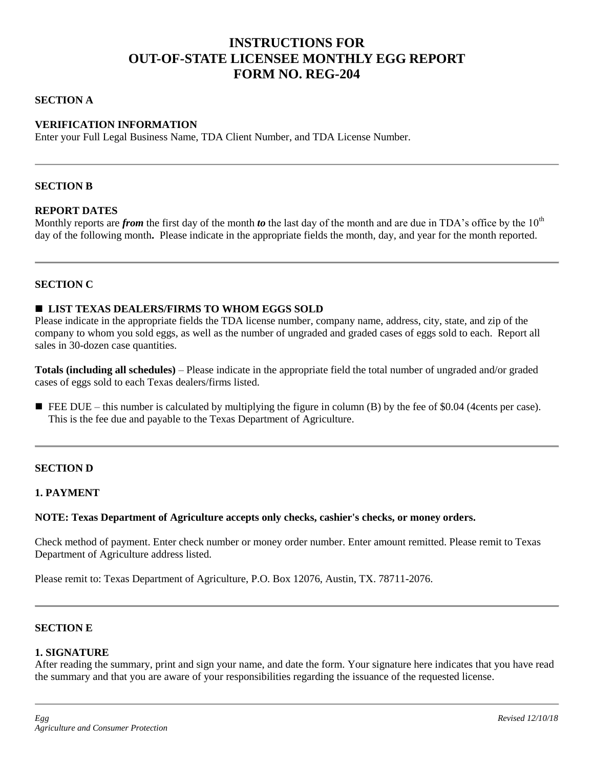# **INSTRUCTIONS FOR OUT-OF-STATE LICENSEE MONTHLY EGG REPORT FORM NO. REG-204**

#### **SECTION A**

## **VERIFICATION INFORMATION**

Enter your Full Legal Business Name, TDA Client Number, and TDA License Number.

## **SECTION B**

## **REPORT DATES**

Monthly reports are *from* the first day of the month *to* the last day of the month and are due in TDA's office by the 10<sup>th</sup> day of the following month. Please indicate in the appropriate fields the month, day, and year for the month reported.

#### **SECTION C**

#### **LIST TEXAS DEALERS/FIRMS TO WHOM EGGS SOLD**

Please indicate in the appropriate fields the TDA license number, company name, address, city, state, and zip of the company to whom you sold eggs, as well as the number of ungraded and graded cases of eggs sold to each. Report all sales in 30-dozen case quantities.

**Totals (including all schedules)** – Please indicate in the appropriate field the total number of ungraded and/or graded cases of eggs sold to each Texas dealers/firms listed.

FEE DUE – this number is calculated by multiplying the figure in column (B) by the fee of \$0.04 (4cents per case). This is the fee due and payable to the Texas Department of Agriculture.

#### **SECTION D**

## **1. PAYMENT**

#### **NOTE: Texas Department of Agriculture accepts only checks, cashier's checks, or money orders.**

Check method of payment. Enter check number or money order number. Enter amount remitted. Please remit to Texas Department of Agriculture address listed.

Please remit to: Texas Department of Agriculture, P.O. Box 12076, Austin, TX. 78711-2076.

#### **SECTION E**

#### **1. SIGNATURE**

After reading the summary, print and sign your name, and date the form. Your signature here indicates that you have read the summary and that you are aware of your responsibilities regarding the issuance of the requested license.